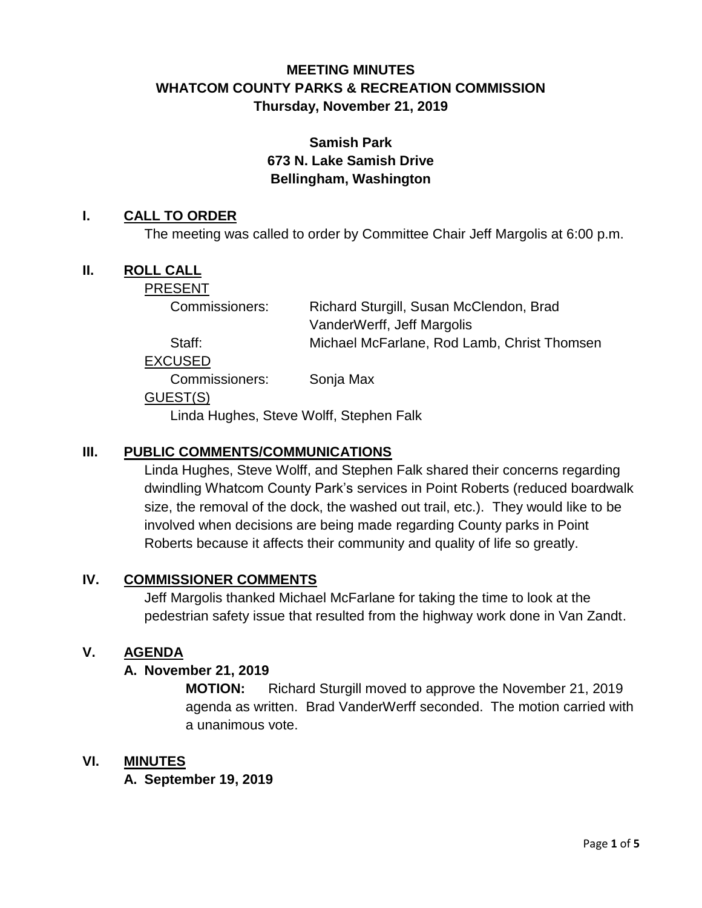# **MEETING MINUTES WHATCOM COUNTY PARKS & RECREATION COMMISSION Thursday, November 21, 2019**

# **Samish Park 673 N. Lake Samish Drive Bellingham, Washington**

### **I. CALL TO ORDER**

The meeting was called to order by Committee Chair Jeff Margolis at 6:00 p.m.

## **II. ROLL CALL**

PRESENT

Commissioners: Richard Sturgill, Susan McClendon, Brad VanderWerff, Jeff Margolis

Staff: Michael McFarlane, Rod Lamb, Christ Thomsen

EXCUSED

Commissioners: Sonja Max

#### GUEST(S)

Linda Hughes, Steve Wolff, Stephen Falk

### **III. PUBLIC COMMENTS/COMMUNICATIONS**

Linda Hughes, Steve Wolff, and Stephen Falk shared their concerns regarding dwindling Whatcom County Park's services in Point Roberts (reduced boardwalk size, the removal of the dock, the washed out trail, etc.). They would like to be involved when decisions are being made regarding County parks in Point Roberts because it affects their community and quality of life so greatly.

#### **IV. COMMISSIONER COMMENTS**

Jeff Margolis thanked Michael McFarlane for taking the time to look at the pedestrian safety issue that resulted from the highway work done in Van Zandt.

#### **V. AGENDA**

#### **A. November 21, 2019**

**MOTION:** Richard Sturgill moved to approve the November 21, 2019 agenda as written. Brad VanderWerff seconded. The motion carried with a unanimous vote.

#### **VI. MINUTES**

**A. September 19, 2019**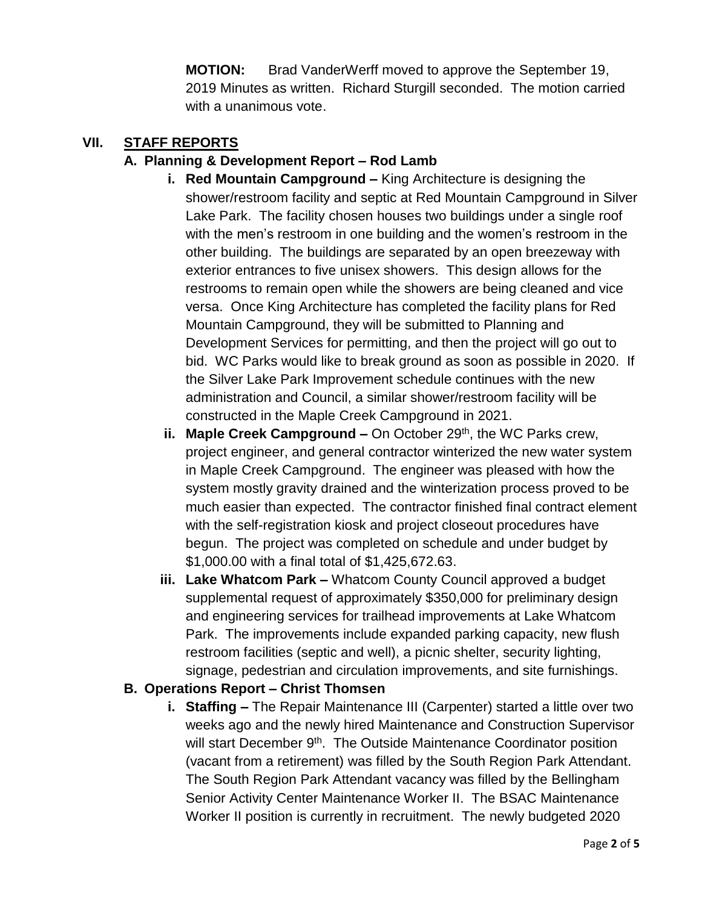**MOTION:** Brad VanderWerff moved to approve the September 19, 2019 Minutes as written. Richard Sturgill seconded. The motion carried with a unanimous vote.

#### **VII. STAFF REPORTS**

## **A. Planning & Development Report – Rod Lamb**

- **i. Red Mountain Campground –** King Architecture is designing the shower/restroom facility and septic at Red Mountain Campground in Silver Lake Park. The facility chosen houses two buildings under a single roof with the men's restroom in one building and the women's restroom in the other building. The buildings are separated by an open breezeway with exterior entrances to five unisex showers. This design allows for the restrooms to remain open while the showers are being cleaned and vice versa. Once King Architecture has completed the facility plans for Red Mountain Campground, they will be submitted to Planning and Development Services for permitting, and then the project will go out to bid. WC Parks would like to break ground as soon as possible in 2020. If the Silver Lake Park Improvement schedule continues with the new administration and Council, a similar shower/restroom facility will be constructed in the Maple Creek Campground in 2021.
- ii. Maple Creek Campground On October 29<sup>th</sup>, the WC Parks crew, project engineer, and general contractor winterized the new water system in Maple Creek Campground. The engineer was pleased with how the system mostly gravity drained and the winterization process proved to be much easier than expected. The contractor finished final contract element with the self-registration kiosk and project closeout procedures have begun. The project was completed on schedule and under budget by \$1,000.00 with a final total of \$1,425,672.63.
- **iii. Lake Whatcom Park –** Whatcom County Council approved a budget supplemental request of approximately \$350,000 for preliminary design and engineering services for trailhead improvements at Lake Whatcom Park. The improvements include expanded parking capacity, new flush restroom facilities (septic and well), a picnic shelter, security lighting, signage, pedestrian and circulation improvements, and site furnishings.

#### **B. Operations Report – Christ Thomsen**

**i. Staffing –** The Repair Maintenance III (Carpenter) started a little over two weeks ago and the newly hired Maintenance and Construction Supervisor will start December 9<sup>th</sup>. The Outside Maintenance Coordinator position (vacant from a retirement) was filled by the South Region Park Attendant. The South Region Park Attendant vacancy was filled by the Bellingham Senior Activity Center Maintenance Worker II. The BSAC Maintenance Worker II position is currently in recruitment. The newly budgeted 2020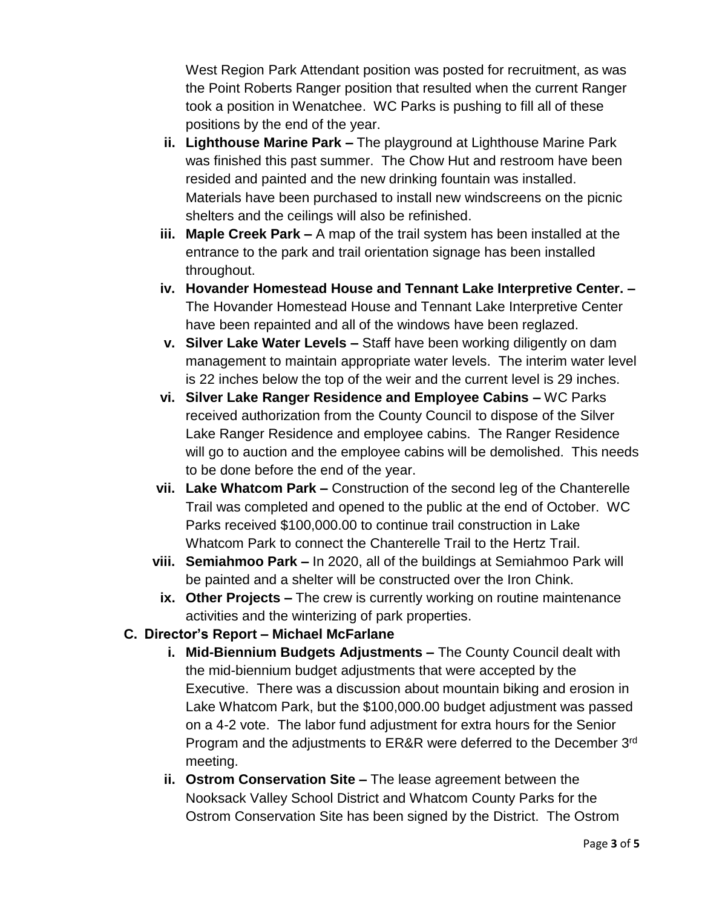West Region Park Attendant position was posted for recruitment, as was the Point Roberts Ranger position that resulted when the current Ranger took a position in Wenatchee. WC Parks is pushing to fill all of these positions by the end of the year.

- **ii. Lighthouse Marine Park –** The playground at Lighthouse Marine Park was finished this past summer. The Chow Hut and restroom have been resided and painted and the new drinking fountain was installed. Materials have been purchased to install new windscreens on the picnic shelters and the ceilings will also be refinished.
- **iii. Maple Creek Park –** A map of the trail system has been installed at the entrance to the park and trail orientation signage has been installed throughout.
- **iv. Hovander Homestead House and Tennant Lake Interpretive Center. –** The Hovander Homestead House and Tennant Lake Interpretive Center have been repainted and all of the windows have been reglazed.
- **v. Silver Lake Water Levels –** Staff have been working diligently on dam management to maintain appropriate water levels. The interim water level is 22 inches below the top of the weir and the current level is 29 inches.
- **vi. Silver Lake Ranger Residence and Employee Cabins –** WC Parks received authorization from the County Council to dispose of the Silver Lake Ranger Residence and employee cabins. The Ranger Residence will go to auction and the employee cabins will be demolished. This needs to be done before the end of the year.
- **vii. Lake Whatcom Park –** Construction of the second leg of the Chanterelle Trail was completed and opened to the public at the end of October. WC Parks received \$100,000.00 to continue trail construction in Lake Whatcom Park to connect the Chanterelle Trail to the Hertz Trail.
- **viii. Semiahmoo Park –** In 2020, all of the buildings at Semiahmoo Park will be painted and a shelter will be constructed over the Iron Chink.
- **ix. Other Projects –** The crew is currently working on routine maintenance activities and the winterizing of park properties.

# **C. Director's Report – Michael McFarlane**

- **i. Mid-Biennium Budgets Adjustments –** The County Council dealt with the mid-biennium budget adjustments that were accepted by the Executive. There was a discussion about mountain biking and erosion in Lake Whatcom Park, but the \$100,000.00 budget adjustment was passed on a 4-2 vote. The labor fund adjustment for extra hours for the Senior Program and the adjustments to ER&R were deferred to the December 3<sup>rd</sup> meeting.
- **ii. Ostrom Conservation Site –** The lease agreement between the Nooksack Valley School District and Whatcom County Parks for the Ostrom Conservation Site has been signed by the District. The Ostrom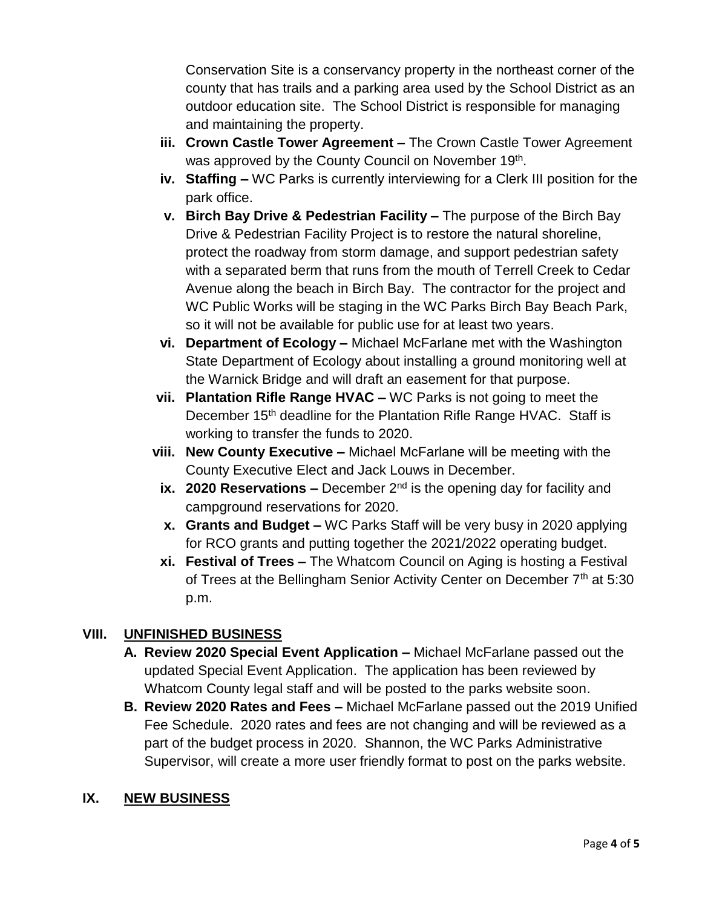Conservation Site is a conservancy property in the northeast corner of the county that has trails and a parking area used by the School District as an outdoor education site. The School District is responsible for managing and maintaining the property.

- **iii. Crown Castle Tower Agreement –** The Crown Castle Tower Agreement was approved by the County Council on November 19<sup>th</sup>.
- **iv. Staffing –** WC Parks is currently interviewing for a Clerk III position for the park office.
- **v. Birch Bay Drive & Pedestrian Facility –** The purpose of the Birch Bay Drive & Pedestrian Facility Project is to restore the natural shoreline, protect the roadway from storm damage, and support pedestrian safety with a separated berm that runs from the mouth of Terrell Creek to Cedar Avenue along the beach in Birch Bay. The contractor for the project and WC Public Works will be staging in the WC Parks Birch Bay Beach Park, so it will not be available for public use for at least two years.
- **vi. Department of Ecology –** Michael McFarlane met with the Washington State Department of Ecology about installing a ground monitoring well at the Warnick Bridge and will draft an easement for that purpose.
- **vii. Plantation Rifle Range HVAC –** WC Parks is not going to meet the December 15<sup>th</sup> deadline for the Plantation Rifle Range HVAC. Staff is working to transfer the funds to 2020.
- **viii. New County Executive –** Michael McFarlane will be meeting with the County Executive Elect and Jack Louws in December.
- **ix. 2020 Reservations –** December 2<sup>nd</sup> is the opening day for facility and campground reservations for 2020.
- **x. Grants and Budget –** WC Parks Staff will be very busy in 2020 applying for RCO grants and putting together the 2021/2022 operating budget.
- **xi. Festival of Trees –** The Whatcom Council on Aging is hosting a Festival of Trees at the Bellingham Senior Activity Center on December 7<sup>th</sup> at 5:30 p.m.

# **VIII. UNFINISHED BUSINESS**

- **A. Review 2020 Special Event Application –** Michael McFarlane passed out the updated Special Event Application. The application has been reviewed by Whatcom County legal staff and will be posted to the parks website soon.
- **B. Review 2020 Rates and Fees –** Michael McFarlane passed out the 2019 Unified Fee Schedule. 2020 rates and fees are not changing and will be reviewed as a part of the budget process in 2020. Shannon, the WC Parks Administrative Supervisor, will create a more user friendly format to post on the parks website.

# **IX. NEW BUSINESS**